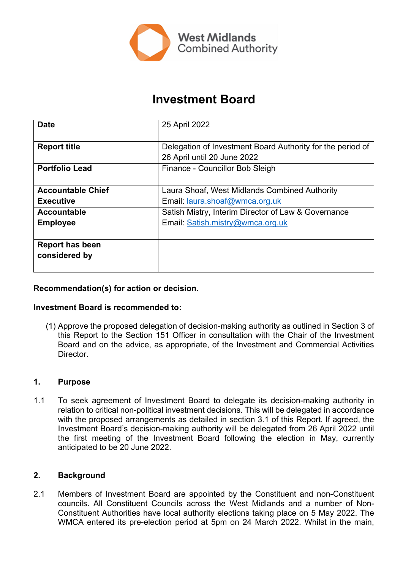

# **Investment Board**

| <b>Date</b>              | 25 April 2022                                              |
|--------------------------|------------------------------------------------------------|
|                          |                                                            |
| <b>Report title</b>      | Delegation of Investment Board Authority for the period of |
|                          | 26 April until 20 June 2022                                |
| <b>Portfolio Lead</b>    | Finance - Councillor Bob Sleigh                            |
|                          |                                                            |
| <b>Accountable Chief</b> | Laura Shoaf, West Midlands Combined Authority              |
| <b>Executive</b>         | Email: laura.shoaf@wmca.org.uk                             |
| Accountable              | Satish Mistry, Interim Director of Law & Governance        |
| <b>Employee</b>          | Email: Satish.mistry@wmca.org.uk                           |
|                          |                                                            |
| <b>Report has been</b>   |                                                            |
| considered by            |                                                            |
|                          |                                                            |

## **Recommendation(s) for action or decision.**

### **Investment Board is recommended to:**

(1) Approve the proposed delegation of decision-making authority as outlined in Section 3 of this Report to the Section 151 Officer in consultation with the Chair of the Investment Board and on the advice, as appropriate, of the Investment and Commercial Activities **Director** 

### **1. Purpose**

1.1 To seek agreement of Investment Board to delegate its decision-making authority in relation to critical non-political investment decisions. This will be delegated in accordance with the proposed arrangements as detailed in section 3.1 of this Report. If agreed, the Investment Board's decision-making authority will be delegated from 26 April 2022 until the first meeting of the Investment Board following the election in May, currently anticipated to be 20 June 2022.

### **2. Background**

2.1 Members of Investment Board are appointed by the Constituent and non-Constituent councils. All Constituent Councils across the West Midlands and a number of Non-Constituent Authorities have local authority elections taking place on 5 May 2022. The WMCA entered its pre-election period at 5pm on 24 March 2022. Whilst in the main,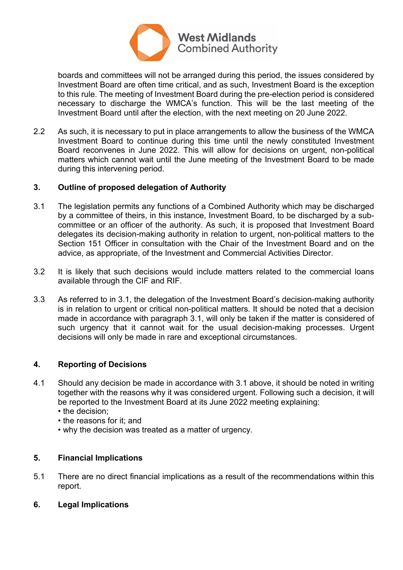

boards and committees will not be arranged during this period, the issues considered by Investment Board are often time critical, and as such, Investment Board is the exception to this rule. The meeting of Investment Board during the pre-election period is considered necessary to discharge the WMCA's function. This will be the last meeting of the Investment Board until after the election, with the next meeting on 20 June 2022.

2.2 As such, it is necessary to put in place arrangements to allow the business of the WMCA Investment Board to continue during this time until the newly constituted Investment Board reconvenes in June 2022. This will allow for decisions on urgent, non-political matters which cannot wait until the June meeting of the Investment Board to be made during this intervening period.

# **3. Outline of proposed delegation of Authority**

- 3.1 The legislation permits any functions of a Combined Authority which may be discharged by a committee of theirs, in this instance, Investment Board, to be discharged by a subcommittee or an officer of the authority. As such, it is proposed that Investment Board delegates its decision-making authority in relation to urgent, non-political matters to the Section 151 Officer in consultation with the Chair of the Investment Board and on the advice, as appropriate, of the Investment and Commercial Activities Director.
- 3.2 It is likely that such decisions would include matters related to the commercial loans available through the CIF and RIF.
- 3.3 As referred to in 3.1, the delegation of the Investment Board's decision-making authority is in relation to urgent or critical non-political matters. It should be noted that a decision made in accordance with paragraph 3.1, will only be taken if the matter is considered of such urgency that it cannot wait for the usual decision-making processes. Urgent decisions will only be made in rare and exceptional circumstances.

### **4. Reporting of Decisions**

- 4.1 Should any decision be made in accordance with 3.1 above, it should be noted in writing together with the reasons why it was considered urgent. Following such a decision, it will be reported to the Investment Board at its June 2022 meeting explaining:
	- the decision:
	- the reasons for it; and
	- why the decision was treated as a matter of urgency.

### **5. Financial Implications**

- 5.1 There are no direct financial implications as a result of the recommendations within this report.
- **6. Legal Implications**